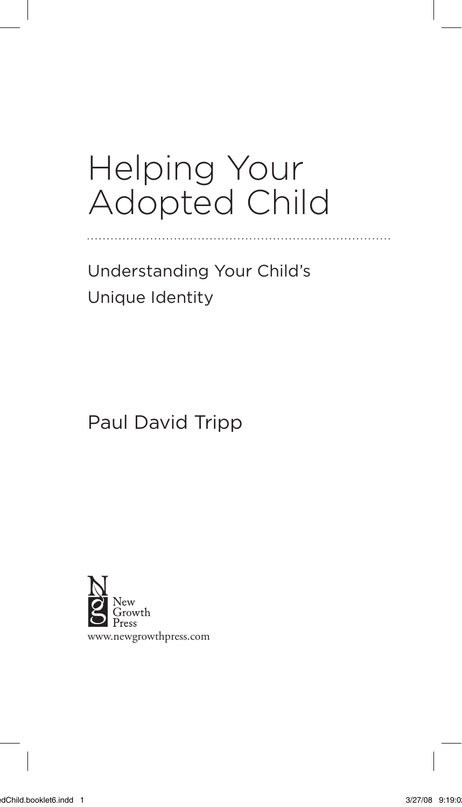## Helping Your Adopted Child

Understanding Your Child's Unique Identity

Paul David Tripp

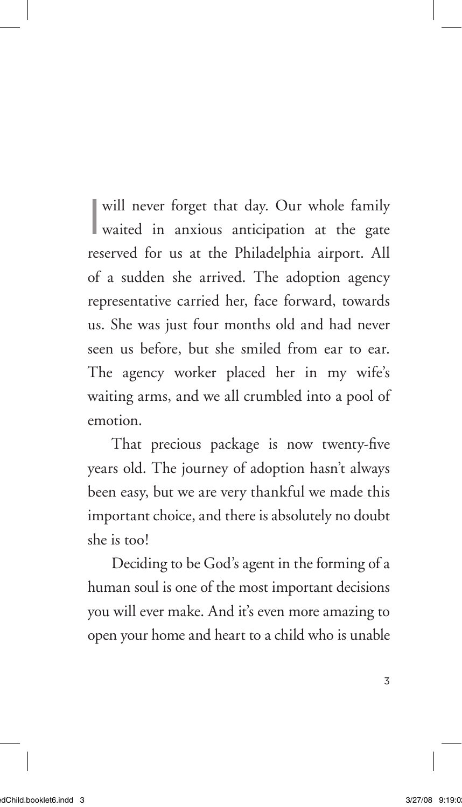I will never forget that day. Our whole family waited in anxious anticipation at the gate reserved for us at the Philadelphia airport. All of a sudden she arrived. The adoption agency representative carried her, face forward, towards us. She was just four months old and had never seen us before, but she smiled from ear to ear. The agency worker placed her in my wife's waiting arms, and we all crumbled into a pool of emotion.

That precious package is now twenty-five years old. The journey of adoption hasn't always been easy, but we are very thankful we made this important choice, and there is absolutely no doubt she is too!

Deciding to be God's agent in the forming of a human soul is one of the most important decisions you will ever make. And it's even more amazing to open your home and heart to a child who is unable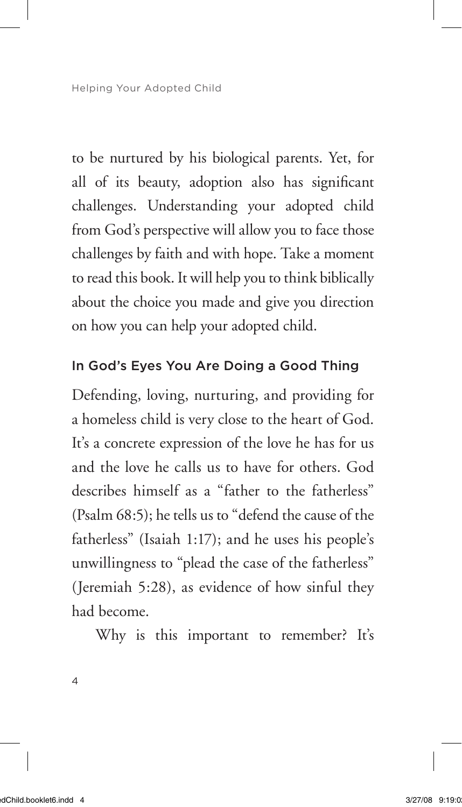Helping Your Adopted Child

to be nurtured by his biological parents. Yet, for all of its beauty, adoption also has significant challenges. Understanding your adopted child from God's perspective will allow you to face those challenges by faith and with hope. Take a moment to read this book. It will help you to think biblically about the choice you made and give you direction on how you can help your adopted child.

## In God's Eyes You Are Doing a Good Thing

Defending, loving, nurturing, and providing for a homeless child is very close to the heart of God. It's a concrete expression of the love he has for us and the love he calls us to have for others. God describes himself as a "father to the fatherless" (Psalm 68:5); he tells us to "defend the cause of the fatherless" (Isaiah 1:17); and he uses his people's unwillingness to "plead the case of the fatherless" (Jeremiah 5:28), as evidence of how sinful they had become.

Why is this important to remember? It's